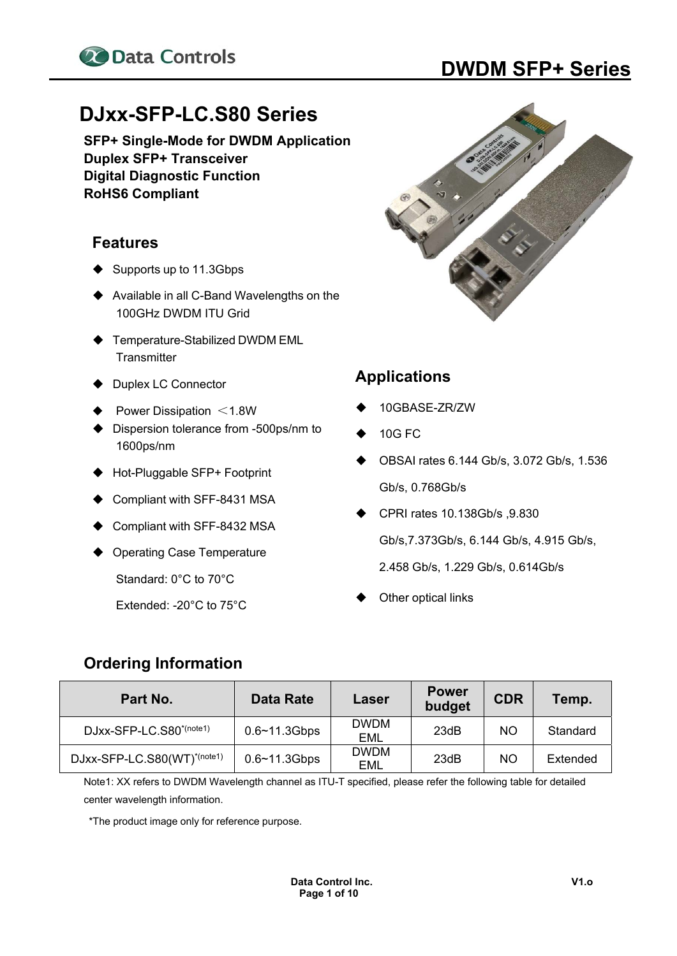

# **22 Data Controls DWDM SFP+ Series**

## **DJxx-SFP-LC.S80 Series**

**SFP+ Single-Mode for DWDM Application Duplex SFP+ Transceiver Digital Diagnostic Function RoHS6 Compliant** 

#### **Features**

- $\blacklozenge$  Supports up to 11.3Gbps
- ◆ Available in all C-Band Wavelengths on the 100GHz DWDM ITU Grid
- ◆ Temperature-Stabilized DWDM EML **Transmitter**
- ◆ Duplex LC Connector
- Power Dissipation  $\leq 1.8W$
- ◆ Dispersion tolerance from -500ps/nm to 1600ps/nm
- ◆ Hot-Pluggable SFP+ Footprint
- Compliant with SFF-8431 MSA
- Compliant with SFF-8432 MSA
- ◆ Operating Case Temperature

Standard: 0°C to 70°C

Extended: -20°C to 75°C



#### **Applications**

- 10GBASE-ZR/ZW
- 10G FC
- OBSAI rates 6.144 Gb/s, 3.072 Gb/s, 1.536 Gb/s, 0.768Gb/s
- CPRI rates 10.138Gb/s ,9.830 Gb/s,7.373Gb/s, 6.144 Gb/s, 4.915 Gb/s, 2.458 Gb/s, 1.229 Gb/s, 0.614Gb/s
- Other optical links

#### **Ordering Information**

| Part No.                            | Data Rate         | Laser                     | <b>Power</b><br>budget | <b>CDR</b> | Temp.    |
|-------------------------------------|-------------------|---------------------------|------------------------|------------|----------|
| DJxx-SFP-LC.S80 <sup>*(note1)</sup> | $0.6 - 11.3$ Gbps | <b>DWDM</b><br>EML        | 23dB                   | <b>NO</b>  | Standard |
| DJxx-SFP-LC.S80(WT)*(note1)         | $0.6 - 11.3$ Gbps | <b>DWDM</b><br><b>EML</b> | 23dB                   | <b>NO</b>  | Extended |

Note1: XX refers to DWDM Wavelength channel as ITU-T specified, please refer the following table for detailed center wavelength information.

\*The product image only for reference purpose.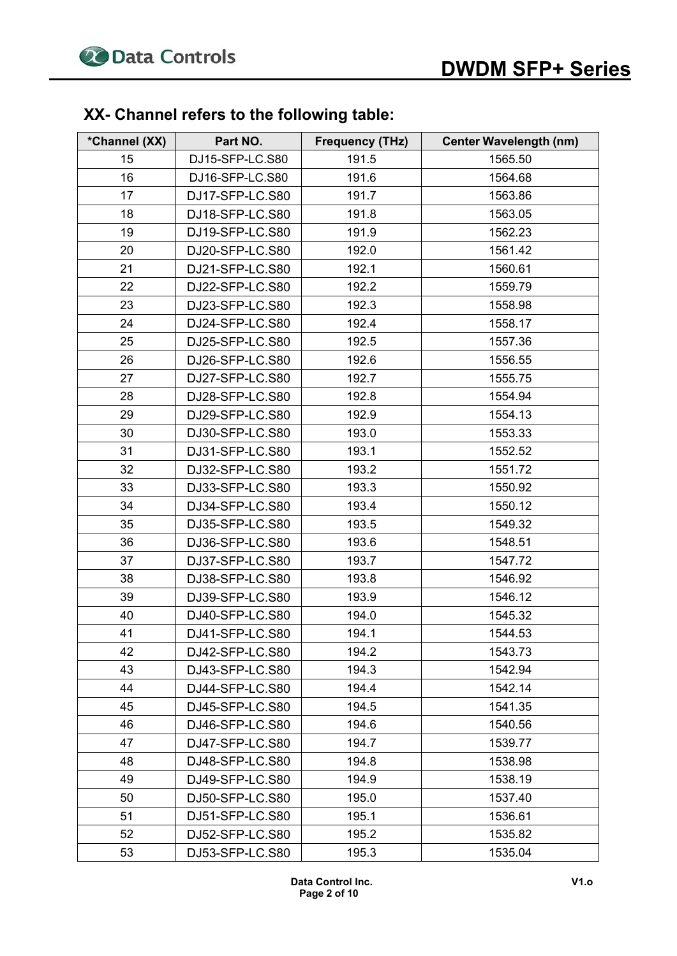### **XX- Channel refers to the following table:**

| *Channel (XX) | Part NO.        | <b>Frequency (THz)</b> | <b>Center Wavelength (nm)</b> |
|---------------|-----------------|------------------------|-------------------------------|
| 15            | DJ15-SFP-LC.S80 | 191.5                  | 1565.50                       |
| 16            | DJ16-SFP-LC.S80 | 191.6                  | 1564.68                       |
| 17            | DJ17-SFP-LC.S80 | 191.7                  | 1563.86                       |
| 18            | DJ18-SFP-LC.S80 | 191.8                  | 1563.05                       |
| 19            | DJ19-SFP-LC.S80 | 191.9                  | 1562.23                       |
| 20            | DJ20-SFP-LC.S80 | 192.0                  | 1561.42                       |
| 21            | DJ21-SFP-LC.S80 | 192.1                  | 1560.61                       |
| 22            | DJ22-SFP-LC.S80 | 192.2                  | 1559.79                       |
| 23            | DJ23-SFP-LC.S80 | 192.3                  | 1558.98                       |
| 24            | DJ24-SFP-LC.S80 | 192.4                  | 1558.17                       |
| 25            | DJ25-SFP-LC.S80 | 192.5                  | 1557.36                       |
| 26            | DJ26-SFP-LC.S80 | 192.6                  | 1556.55                       |
| 27            | DJ27-SFP-LC.S80 | 192.7                  | 1555.75                       |
| 28            | DJ28-SFP-LC.S80 | 192.8                  | 1554.94                       |
| 29            | DJ29-SFP-LC.S80 | 192.9                  | 1554.13                       |
| 30            | DJ30-SFP-LC.S80 | 193.0                  | 1553.33                       |
| 31            | DJ31-SFP-LC.S80 | 193.1                  | 1552.52                       |
| 32            | DJ32-SFP-LC.S80 | 193.2                  | 1551.72                       |
| 33            | DJ33-SFP-LC.S80 | 193.3                  | 1550.92                       |
| 34            | DJ34-SFP-LC.S80 | 193.4                  | 1550.12                       |
| 35            | DJ35-SFP-LC.S80 | 193.5                  | 1549.32                       |
| 36            | DJ36-SFP-LC.S80 | 193.6                  | 1548.51                       |
| 37            | DJ37-SFP-LC.S80 | 193.7                  | 1547.72                       |
| 38            | DJ38-SFP-LC.S80 | 193.8                  | 1546.92                       |
| 39            | DJ39-SFP-LC.S80 | 193.9                  | 1546.12                       |
| 40            | DJ40-SFP-LC.S80 | 194.0                  | 1545.32                       |
| 41            | DJ41-SFP-LC.S80 | 194.1                  | 1544.53                       |
| 42            | DJ42-SFP-LC.S80 | 194.2                  | 1543.73                       |
| 43            | DJ43-SFP-LC.S80 | 194.3                  | 1542.94                       |
| 44            | DJ44-SFP-LC.S80 | 194.4                  | 1542.14                       |
| 45            | DJ45-SFP-LC.S80 | 194.5                  | 1541.35                       |
| 46            | DJ46-SFP-LC.S80 | 194.6                  | 1540.56                       |
| 47            | DJ47-SFP-LC.S80 | 194.7                  | 1539.77                       |
| 48            | DJ48-SFP-LC.S80 | 194.8                  | 1538.98                       |
| 49            | DJ49-SFP-LC.S80 | 194.9                  | 1538.19                       |
| 50            | DJ50-SFP-LC.S80 | 195.0                  | 1537.40                       |
| 51            | DJ51-SFP-LC.S80 | 195.1                  | 1536.61                       |
| 52            | DJ52-SFP-LC.S80 | 195.2                  | 1535.82                       |
| 53            | DJ53-SFP-LC.S80 | 195.3                  | 1535.04                       |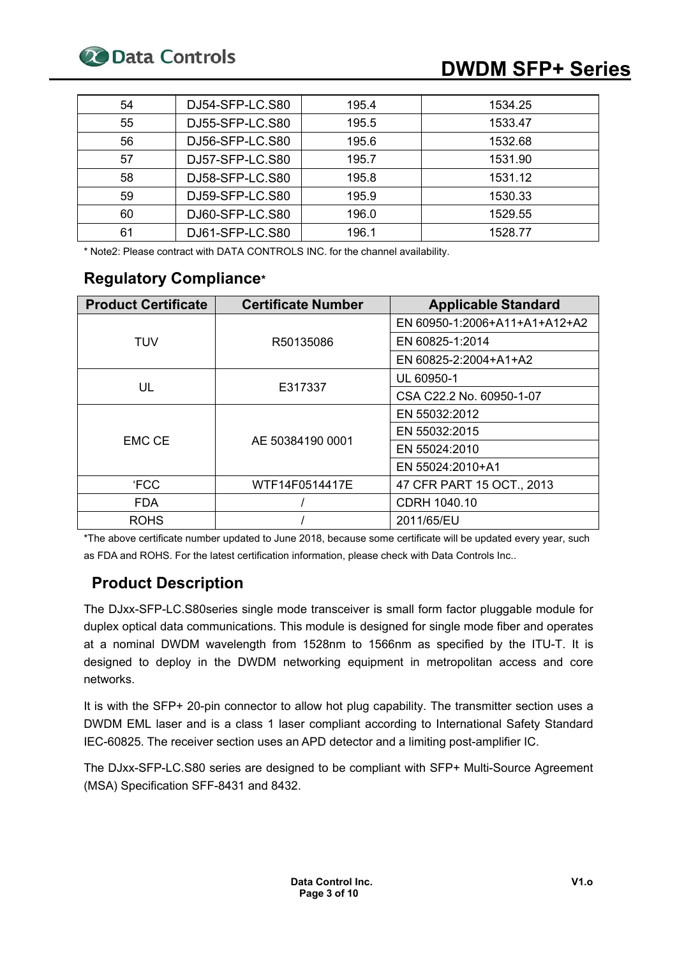# **20 Data Controls DWDM SFP+ Series**

| 54 | DJ54-SFP-LC.S80 | 195.4 | 1534.25 |
|----|-----------------|-------|---------|
| 55 | DJ55-SFP-LC.S80 | 195.5 | 1533.47 |
| 56 | DJ56-SFP-LC.S80 | 195.6 | 1532.68 |
| 57 | DJ57-SFP-LC.S80 | 195.7 | 1531.90 |
| 58 | DJ58-SFP-LC.S80 | 195.8 | 1531.12 |
| 59 | DJ59-SFP-LC.S80 | 195.9 | 1530.33 |
| 60 | DJ60-SFP-LC.S80 | 196.0 | 1529.55 |
| 61 | DJ61-SFP-LC.S80 | 196.1 | 1528.77 |

\* Note2: Please contract with DATA CONTROLS INC. for the channel availability.

#### **Regulatory Compliance\***

| <b>Product Certificate</b> | <b>Certificate Number</b> | <b>Applicable Standard</b>    |
|----------------------------|---------------------------|-------------------------------|
|                            |                           | EN 60950-1:2006+A11+A1+A12+A2 |
| <b>TUV</b>                 | R50135086                 | EN 60825-1:2014               |
|                            |                           | EN 60825-2:2004+A1+A2         |
|                            |                           | UL 60950-1                    |
| UL                         | E317337                   | CSA C22.2 No. 60950-1-07      |
|                            |                           | EN 55032:2012                 |
| <b>EMC CE</b>              |                           | EN 55032:2015                 |
|                            | AE 50384190 0001          | EN 55024:2010                 |
|                            |                           | EN 55024:2010+A1              |
| <b>'FCC</b>                | WTF14F0514417E            | 47 CFR PART 15 OCT., 2013     |
| <b>FDA</b>                 |                           | CDRH 1040.10                  |
| <b>ROHS</b>                |                           | 2011/65/EU                    |

\*The above certificate number updated to June 2018, because some certificate will be updated every year, such as FDA and ROHS. For the latest certification information, please check with Data Controls Inc..

### **Product Description**

The DJxx-SFP-LC.S80series single mode transceiver is small form factor pluggable module for duplex optical data communications. This module is designed for single mode fiber and operates at a nominal DWDM wavelength from 1528nm to 1566nm as specified by the ITU-T. It is designed to deploy in the DWDM networking equipment in metropolitan access and core networks.

It is with the SFP+ 20-pin connector to allow hot plug capability. The transmitter section uses a DWDM EML laser and is a class 1 laser compliant according to International Safety Standard IEC-60825. The receiver section uses an APD detector and a limiting post-amplifier IC.

The DJxx-SFP-LC.S80 series are designed to be compliant with SFP+ Multi-Source Agreement (MSA) Specification SFF-8431 and 8432.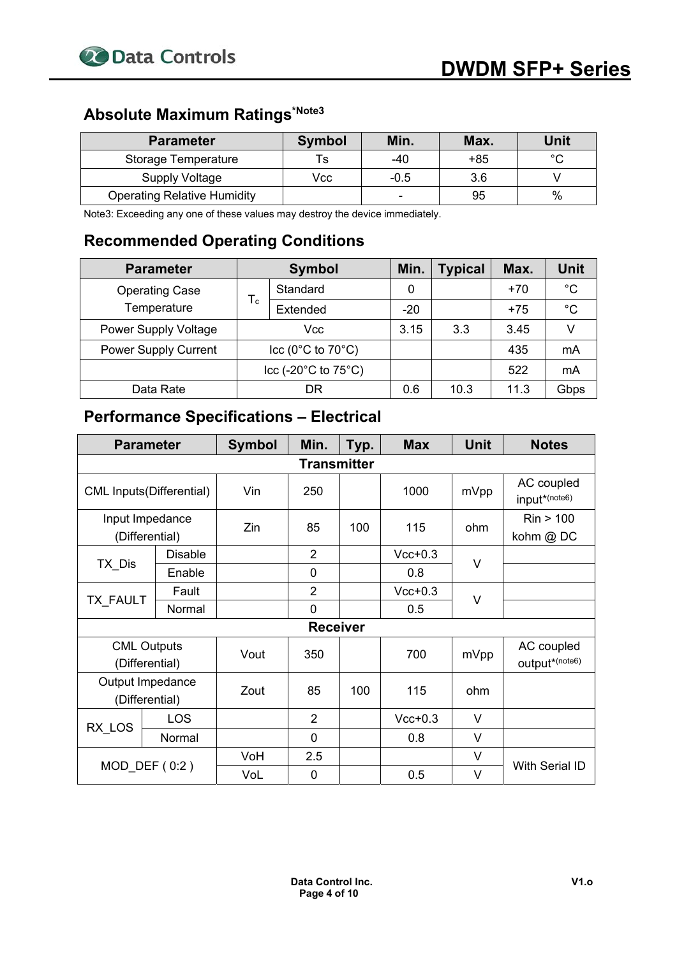# **Absolute Maximum Ratings\*Note3**

| <b>Parameter</b>                   | <b>Symbol</b> | Min.                     | Max. | Unit   |
|------------------------------------|---------------|--------------------------|------|--------|
| Storage Temperature                | l S           | $-40$                    | +85  | $\sim$ |
| Supply Voltage                     | Vcc           | $-0.5$                   | 3.6  |        |
| <b>Operating Relative Humidity</b> |               | $\overline{\phantom{0}}$ | 95   | $\%$   |

Note3: Exceeding any one of these values may destroy the device immediately.

#### **Recommended Operating Conditions**

| <b>Parameter</b>            | <b>Symbol</b>                         |          | Min.  | <b>Typical</b> | Max.  | <b>Unit</b> |
|-----------------------------|---------------------------------------|----------|-------|----------------|-------|-------------|
| <b>Operating Case</b>       |                                       | Standard | 0     |                | $+70$ | $^{\circ}C$ |
| Temperature                 | $T_c$                                 | Extended | $-20$ |                | $+75$ | °C          |
| <b>Power Supply Voltage</b> | Vcc                                   |          | 3.15  | 3.3            | 3.45  |             |
| <b>Power Supply Current</b> | $\text{Icc}$ (0°C to 70°C)            |          |       |                | 435   | mA          |
|                             | $ ccc (-20^{\circ}C to 75^{\circ}C) $ |          |       |                | 522   | mA          |
| Data Rate                   |                                       | DR       | 0.6   | 10.3           | 11.3  | Gbps        |

#### **Performance Specifications – Electrical**

| <b>Parameter</b>                     |                    | <b>Symbol</b> | Min.            | Typ. | <b>Max</b> | <b>Unit</b> | <b>Notes</b>                 |  |
|--------------------------------------|--------------------|---------------|-----------------|------|------------|-------------|------------------------------|--|
|                                      | <b>Transmitter</b> |               |                 |      |            |             |                              |  |
| <b>CML Inputs(Differential)</b>      |                    | Vin           | 250             |      | 1000       | mVpp        | AC coupled<br>input*(note6)  |  |
| Input Impedance<br>(Differential)    |                    | Zin           | 85              | 100  | 115        | ohm         | Rin > 100<br>kohm @ DC       |  |
|                                      | <b>Disable</b>     |               | $\overline{2}$  |      | $Vcc+0.3$  | $\vee$      |                              |  |
| TX Dis                               | Enable             |               | 0               |      | 0.8        |             |                              |  |
|                                      | Fault              |               | $\overline{2}$  |      | $Vcc+0.3$  | V           |                              |  |
| <b>TX FAULT</b>                      | Normal             |               | 0               |      | 0.5        |             |                              |  |
|                                      |                    |               | <b>Receiver</b> |      |            |             |                              |  |
| <b>CML Outputs</b><br>(Differential) |                    | Vout          | 350             |      | 700        | mVpp        | AC coupled<br>output*(note6) |  |
| Output Impedance<br>(Differential)   |                    | Zout          | 85              | 100  | 115        | ohm         |                              |  |
|                                      | <b>LOS</b>         |               | $\overline{2}$  |      | $Vcc+0.3$  | V           |                              |  |
| RX_LOS                               | Normal             |               | 0               |      | 0.8        | V           |                              |  |
|                                      |                    | VoH           | 2.5             |      |            | V           |                              |  |
| MOD DEF $(0:2)$                      |                    | VoL           | 0               |      | 0.5        | V           | With Serial ID               |  |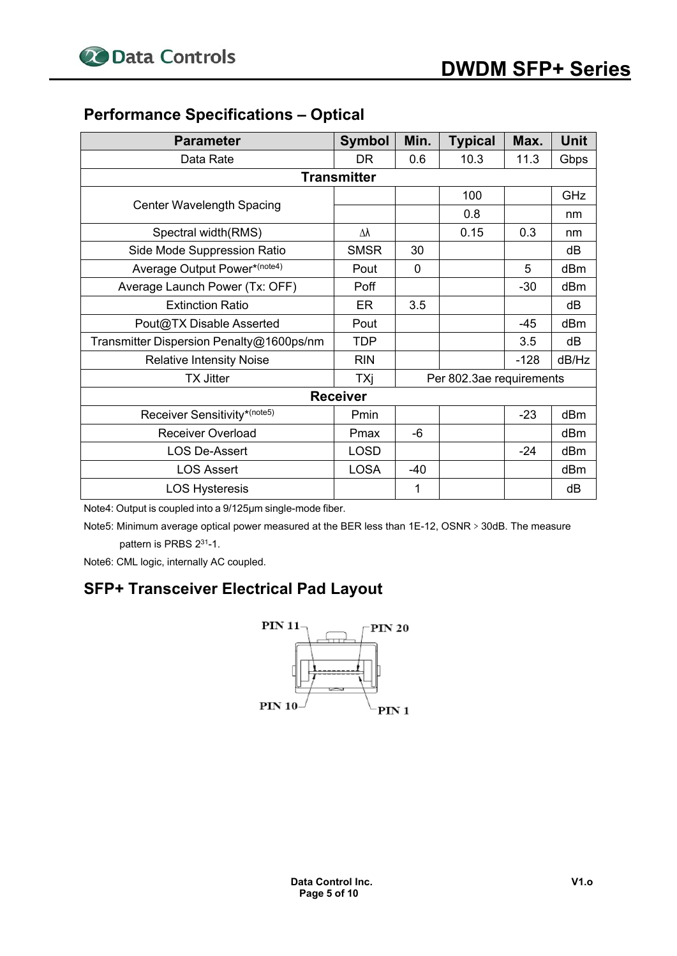### **Performance Specifications – Optical**

| <b>Parameter</b>                         | <b>Symbol</b>      | Min.        | <b>Typical</b>           | Max.   | Unit  |
|------------------------------------------|--------------------|-------------|--------------------------|--------|-------|
| Data Rate                                | <b>DR</b>          | 0.6         | 10.3                     | 11.3   | Gbps  |
|                                          | <b>Transmitter</b> |             |                          |        |       |
|                                          |                    |             | 100                      |        | GHz   |
| <b>Center Wavelength Spacing</b>         |                    |             | 0.8                      |        | nm    |
| Spectral width(RMS)                      | Δλ                 |             | 0.15                     | 0.3    | nm    |
| Side Mode Suppression Ratio              | <b>SMSR</b>        | 30          |                          |        | dB    |
| Average Output Power*(note4)             | Pout               | $\mathbf 0$ |                          | 5      | dBm   |
| Average Launch Power (Tx: OFF)           | Poff               |             |                          | $-30$  | dBm   |
| <b>Extinction Ratio</b>                  | ER                 | 3.5         |                          |        | dB    |
| Pout@TX Disable Asserted                 | Pout               |             |                          | $-45$  | dBm   |
| Transmitter Dispersion Penalty@1600ps/nm | <b>TDP</b>         |             |                          | 3.5    | dB    |
| <b>Relative Intensity Noise</b>          | <b>RIN</b>         |             |                          | $-128$ | dB/Hz |
| <b>TX Jitter</b>                         | TXj                |             | Per 802.3ae requirements |        |       |
|                                          | <b>Receiver</b>    |             |                          |        |       |
| Receiver Sensitivity*(note5)             | Pmin               |             |                          | $-23$  | dBm   |
| <b>Receiver Overload</b>                 | Pmax               | $-6$        |                          |        | dBm   |
| <b>LOS De-Assert</b>                     | <b>LOSD</b>        |             |                          | $-24$  | dBm   |
| <b>LOS Assert</b>                        | <b>LOSA</b>        | -40         |                          |        | dBm   |
| <b>LOS Hysteresis</b>                    |                    | 1           |                          |        | dB    |

Note4: Output is coupled into a 9/125μm single-mode fiber.

Note5: Minimum average optical power measured at the BER less than 1E-12, OSNR > 30dB. The measure pattern is PRBS 231-1.

Note6: CML logic, internally AC coupled.

#### **SFP+ Transceiver Electrical Pad Layout**

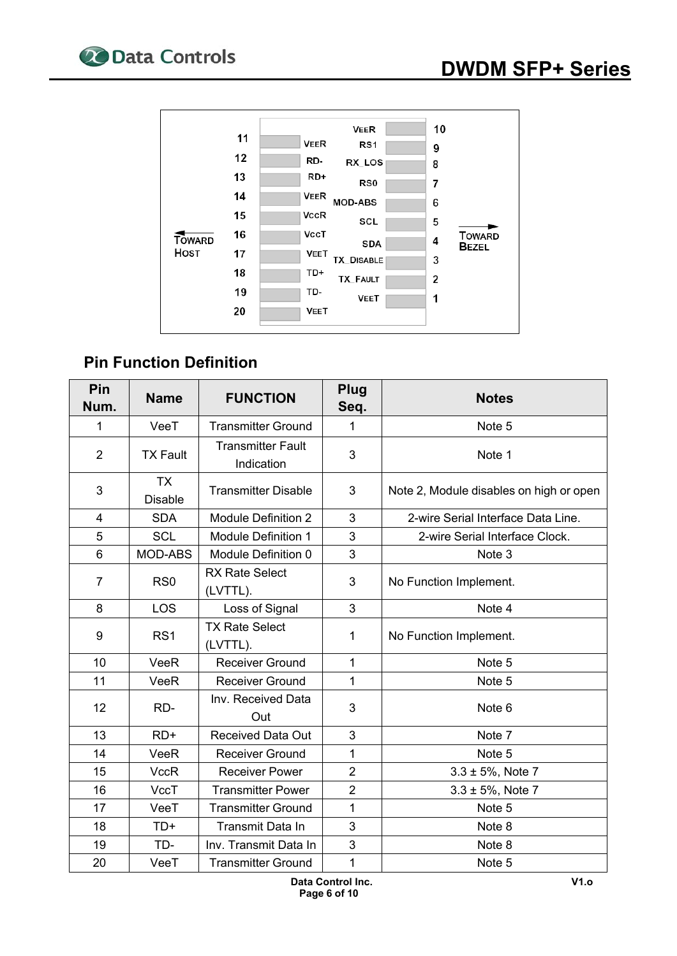

### **Pin Function Definition**

| Pin<br>Num.    | <b>Name</b>                 | <b>FUNCTION</b>                        | Plug<br>Seq.   | <b>Notes</b>                            |
|----------------|-----------------------------|----------------------------------------|----------------|-----------------------------------------|
| 1              | VeeT                        | <b>Transmitter Ground</b>              | 1              | Note 5                                  |
| $\overline{2}$ | <b>TX Fault</b>             | <b>Transmitter Fault</b><br>Indication | 3              | Note 1                                  |
| 3              | <b>TX</b><br><b>Disable</b> | <b>Transmitter Disable</b>             | 3              | Note 2, Module disables on high or open |
| $\overline{4}$ | <b>SDA</b>                  | <b>Module Definition 2</b>             | 3              | 2-wire Serial Interface Data Line.      |
| 5              | <b>SCL</b>                  | Module Definition 1                    | 3              | 2-wire Serial Interface Clock.          |
| 6              | MOD-ABS                     | Module Definition 0                    | 3              | Note 3                                  |
| $\overline{7}$ | RS <sub>0</sub>             | <b>RX Rate Select</b><br>(LVTTL).      | 3              | No Function Implement.                  |
| 8              | LOS                         | Loss of Signal                         | 3              | Note 4                                  |
| 9              | RS <sub>1</sub>             | <b>TX Rate Select</b><br>(LVTTL).      | 1              | No Function Implement.                  |
| 10             | VeeR                        | <b>Receiver Ground</b>                 | $\overline{1}$ | Note 5                                  |
| 11             | VeeR                        | Receiver Ground                        | $\mathbf{1}$   | Note 5                                  |
| 12             | RD-                         | Inv. Received Data<br>Out              | 3              | Note <sub>6</sub>                       |
| 13             | $RD+$                       | <b>Received Data Out</b>               | 3              | Note 7                                  |
| 14             | VeeR                        | <b>Receiver Ground</b>                 | 1              | Note 5                                  |
| 15             | <b>VccR</b>                 | <b>Receiver Power</b>                  | $\overline{2}$ | $3.3 \pm 5%$ , Note 7                   |
| 16             | <b>VccT</b>                 | <b>Transmitter Power</b>               | $\overline{2}$ | $3.3 \pm 5%$ , Note 7                   |
| 17             | VeeT                        | <b>Transmitter Ground</b>              | 1              | Note 5                                  |
| 18             | TD+                         | Transmit Data In                       | 3              | Note 8                                  |
| 19             | TD-                         | Inv. Transmit Data In                  | 3              | Note 8                                  |
| 20             | VeeT                        | <b>Transmitter Ground</b>              | 1              | Note 5                                  |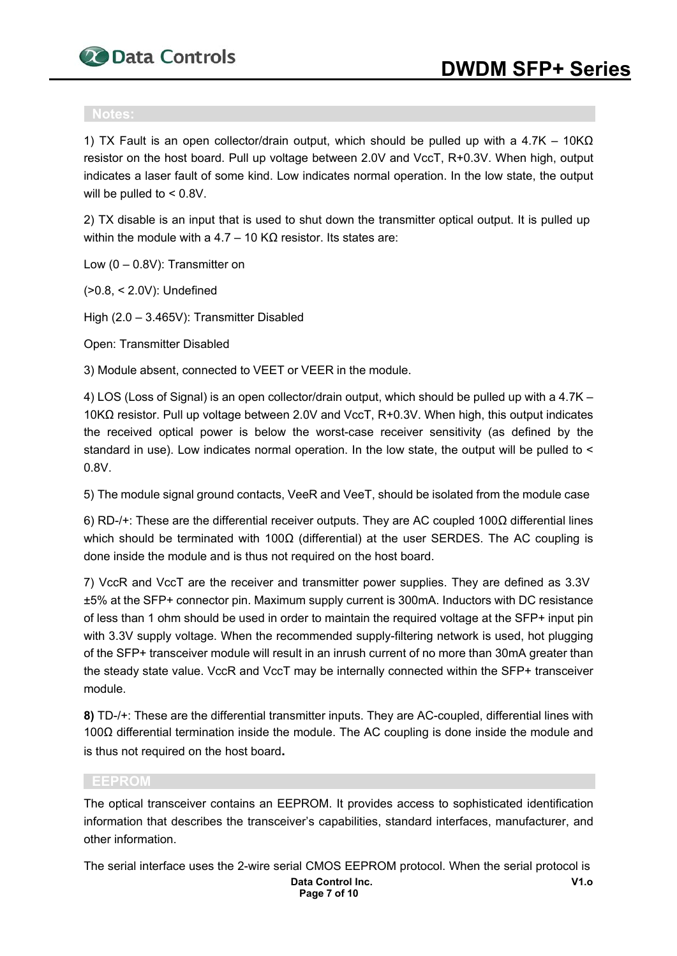

1) TX Fault is an open collector/drain output, which should be pulled up with a 4.7K – 10KΩ resistor on the host board. Pull up voltage between 2.0V and VccT, R+0.3V. When high, output indicates a laser fault of some kind. Low indicates normal operation. In the low state, the output will be pulled to < 0.8V.

2) TX disable is an input that is used to shut down the transmitter optical output. It is pulled up within the module with a 4.7 – 10 KΩ resistor. Its states are:

Low (0 – 0.8V): Transmitter on

(>0.8, < 2.0V): Undefined

High (2.0 – 3.465V): Transmitter Disabled

Open: Transmitter Disabled

3) Module absent, connected to VEET or VEER in the module.

4) LOS (Loss of Signal) is an open collector/drain output, which should be pulled up with a 4.7K – 10KΩ resistor. Pull up voltage between 2.0V and VccT, R+0.3V. When high, this output indicates the received optical power is below the worst-case receiver sensitivity (as defined by the standard in use). Low indicates normal operation. In the low state, the output will be pulled to < 0.8V.

5) The module signal ground contacts, VeeR and VeeT, should be isolated from the module case

6) RD-/+: These are the differential receiver outputs. They are AC coupled 100Ω differential lines which should be terminated with 100 $\Omega$  (differential) at the user SERDES. The AC coupling is done inside the module and is thus not required on the host board.

7) VccR and VccT are the receiver and transmitter power supplies. They are defined as 3.3V ±5% at the SFP+ connector pin. Maximum supply current is 300mA. Inductors with DC resistance of less than 1 ohm should be used in order to maintain the required voltage at the SFP+ input pin with 3.3V supply voltage. When the recommended supply-filtering network is used, hot plugging of the SFP+ transceiver module will result in an inrush current of no more than 30mA greater than the steady state value. VccR and VccT may be internally connected within the SFP+ transceiver module.

**8)** TD-/+: These are the differential transmitter inputs. They are AC-coupled, differential lines with 100Ω differential termination inside the module. The AC coupling is done inside the module and is thus not required on the host board**.** 

#### **EEPROM**

The optical transceiver contains an EEPROM. It provides access to sophisticated identification information that describes the transceiver's capabilities, standard interfaces, manufacturer, and other information.

**Data Control Inc. V1.o** The serial interface uses the 2-wire serial CMOS EEPROM protocol. When the serial protocol is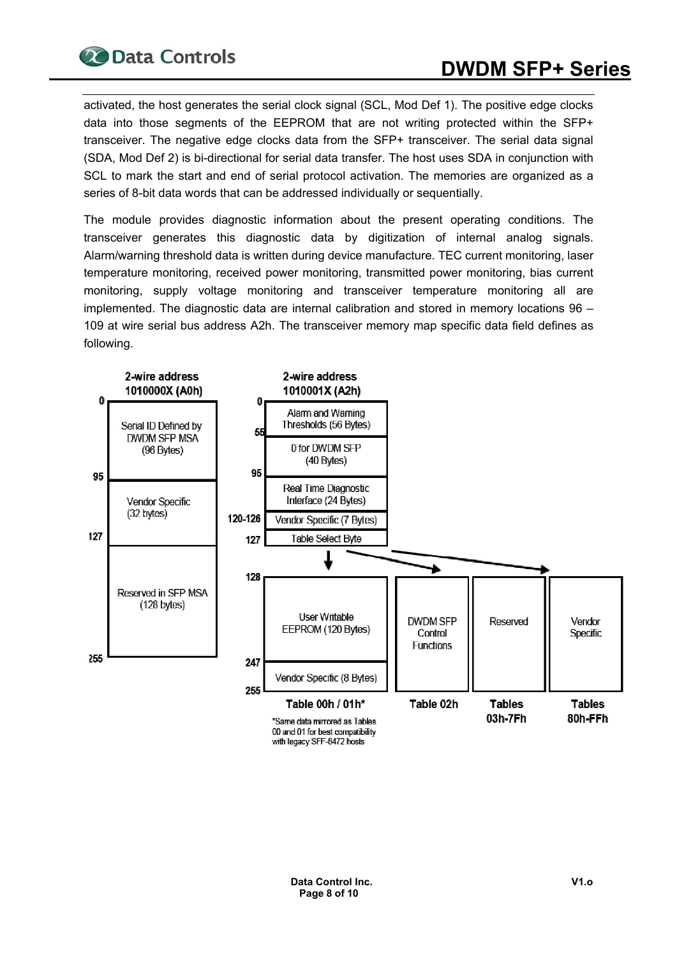activated, the host generates the serial clock signal (SCL, Mod Def 1). The positive edge clocks data into those segments of the EEPROM that are not writing protected within the SFP+ transceiver. The negative edge clocks data from the SFP+ transceiver. The serial data signal (SDA, Mod Def 2) is bi-directional for serial data transfer. The host uses SDA in conjunction with SCL to mark the start and end of serial protocol activation. The memories are organized as a series of 8-bit data words that can be addressed individually or sequentially.

The module provides diagnostic information about the present operating conditions. The transceiver generates this diagnostic data by digitization of internal analog signals. Alarm/warning threshold data is written during device manufacture. TEC current monitoring, laser temperature monitoring, received power monitoring, transmitted power monitoring, bias current monitoring, supply voltage monitoring and transceiver temperature monitoring all are implemented. The diagnostic data are internal calibration and stored in memory locations 96 – 109 at wire serial bus address A2h. The transceiver memory map specific data field defines as following.

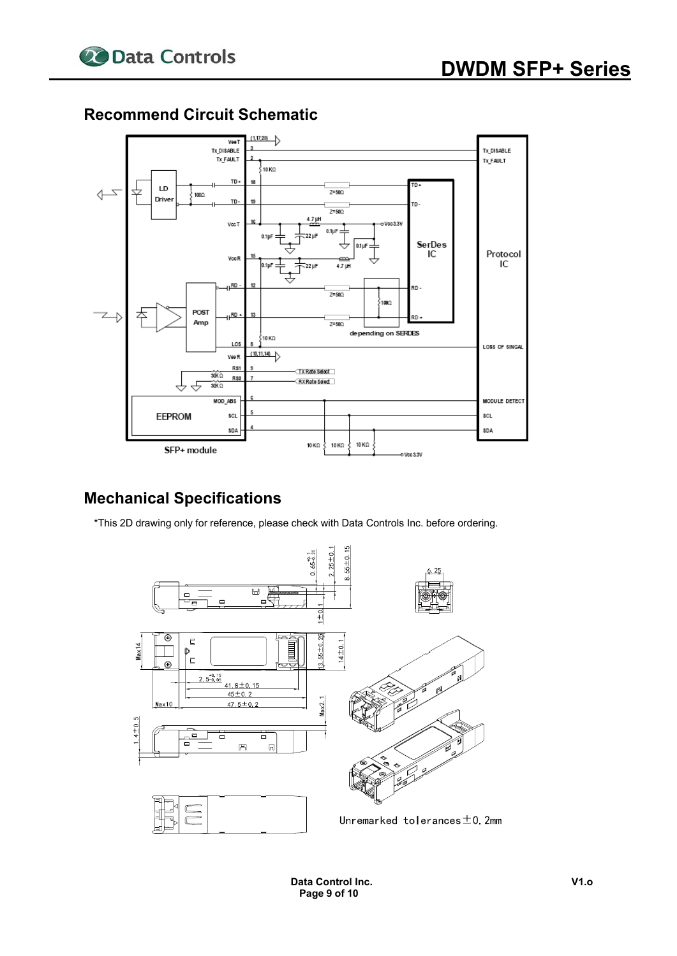



#### **Recommend Circuit Schematic**

#### **Mechanical Specifications**

\*This 2D drawing only for reference, please check with Data Controls Inc. before ordering.